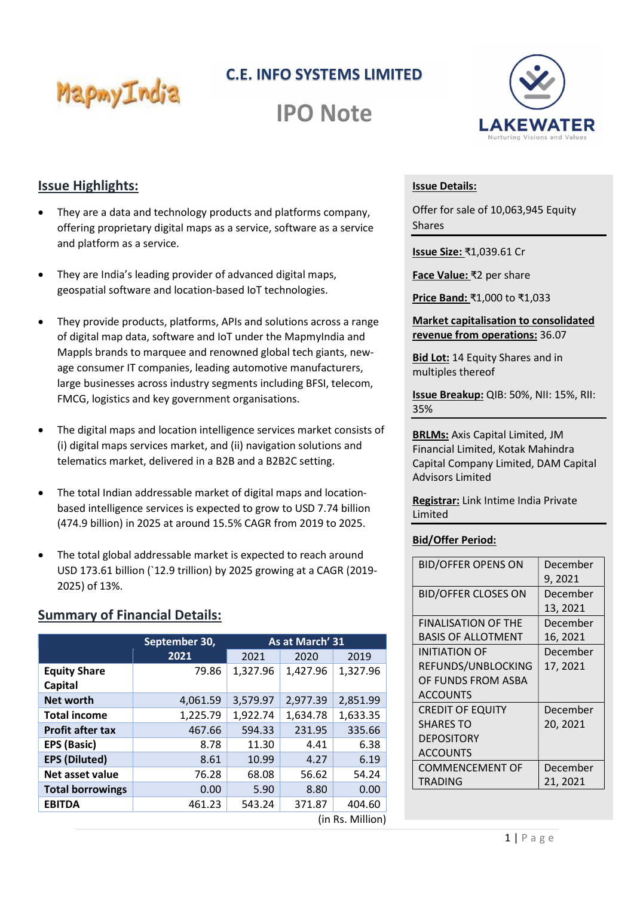C.E. INFO SYSTEMS LIMITED



**IPO Note** 



## Issue Highlights:

- They are a data and technology products and platforms company, offering proprietary digital maps as a service, software as a service and platform as a service.
- They are India's leading provider of advanced digital maps, geospatial software and location-based IoT technologies.
- They provide products, platforms, APIs and solutions across a range of digital map data, software and IoT under the MapmyIndia and Mappls brands to marquee and renowned global tech giants, newage consumer IT companies, leading automotive manufacturers, large businesses across industry segments including BFSI, telecom, FMCG, logistics and key government organisations.
- The digital maps and location intelligence services market consists of (i) digital maps services market, and (ii) navigation solutions and telematics market, delivered in a B2B and a B2B2C setting.
- The total Indian addressable market of digital maps and locationbased intelligence services is expected to grow to USD 7.74 billion (474.9 billion) in 2025 at around 15.5% CAGR from 2019 to 2025.
- The total global addressable market is expected to reach around USD 173.61 billion (`12.9 trillion) by 2025 growing at a CAGR (2019- 2025) of 13%.

## Summary of Financial Details:

|                                | September 30, | As at March' 31 |          |          |  |  |
|--------------------------------|---------------|-----------------|----------|----------|--|--|
|                                | 2021          | 2021            | 2020     | 2019     |  |  |
| <b>Equity Share</b><br>Capital | 79.86         | 1,327.96        | 1,427.96 | 1,327.96 |  |  |
| <b>Net worth</b>               | 4,061.59      | 3,579.97        | 2,977.39 | 2,851.99 |  |  |
| <b>Total income</b>            | 1,225.79      | 1,922.74        | 1,634.78 | 1,633.35 |  |  |
| <b>Profit after tax</b>        | 467.66        | 594.33          | 231.95   | 335.66   |  |  |
| <b>EPS (Basic)</b>             | 8.78          | 11.30           | 4.41     | 6.38     |  |  |
| <b>EPS (Diluted)</b>           | 8.61          | 10.99           | 4.27     | 6.19     |  |  |
| Net asset value                | 76.28         | 68.08           | 56.62    | 54.24    |  |  |
| <b>Total borrowings</b>        | 0.00          | 5.90            | 8.80     | 0.00     |  |  |
| <b>EBITDA</b>                  | 461.23        | 543.24          | 371.87   | 404.60   |  |  |
| (in Rs. Million)               |               |                 |          |          |  |  |

#### Issue Details:

Offer for sale of 10,063,945 Equity Shares

Issue Size: ₹1,039.61 Cr

Face Value: ₹2 per share

Price Band: ₹1,000 to ₹1,033

Market capitalisation to consolidated revenue from operations: 36.07

**Bid Lot: 14 Equity Shares and in** multiples thereof

Issue Breakup: QIB: 50%, NII: 15%, RII: 35%

BRLMs: Axis Capital Limited, JM Financial Limited, Kotak Mahindra Capital Company Limited, DAM Capital Advisors Limited

Registrar: Link Intime India Private Limited

### Bid/Offer Period:

| <b>BID/OFFER OPENS ON</b>  | December |
|----------------------------|----------|
|                            | 9, 2021  |
| <b>BID/OFFER CLOSES ON</b> | December |
|                            | 13, 2021 |
| <b>FINALISATION OF THE</b> | December |
| <b>BASIS OF ALLOTMENT</b>  | 16, 2021 |
| INITIATION OF              | December |
| REFUNDS/UNBLOCKING         | 17, 2021 |
| OF FUNDS FROM ASBA         |          |
| <b>ACCOUNTS</b>            |          |
| <b>CREDIT OF EQUITY</b>    | December |
| <b>SHARES TO</b>           | 20, 2021 |
| <b>DEPOSITORY</b>          |          |
| <b>ACCOUNTS</b>            |          |
| <b>COMMENCEMENT OF</b>     | December |
| TRADING                    | 21, 2021 |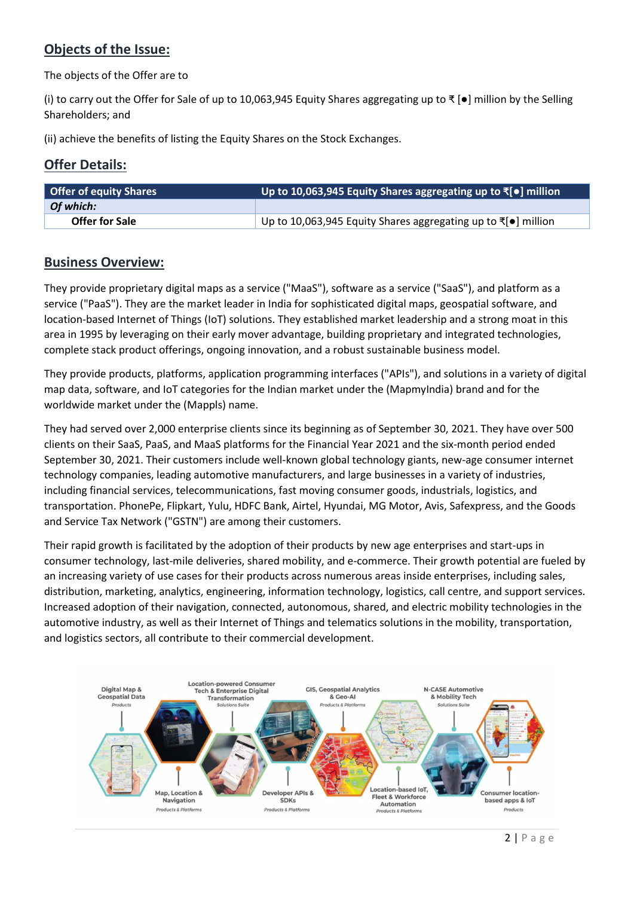# Objects of the Issue:

The objects of the Offer are to

 Shareholders; and (i) to carry out the Offer for Sale of up to 10,063,945 Equity Shares aggregating up to ₹ [●] million by the Selling

(ii) achieve the benefits of listing the Equity Shares on the Stock Exchanges.

# Offer Details:

| <b>Offer of equity Shares</b> | Up to 10,063,945 Equity Shares aggregating up to ₹[•] million                  |
|-------------------------------|--------------------------------------------------------------------------------|
| Of which:                     |                                                                                |
| <b>Offer for Sale</b>         | Up to 10,063,945 Equity Shares aggregating up to $\bar{\tau}[\bullet]$ million |

## Business Overview:

They provide proprietary digital maps as a service ("MaaS"), software as a service ("SaaS"), and platform as a service ("PaaS"). They are the market leader in India for sophisticated digital maps, geospatial software, and location-based Internet of Things (IoT) solutions. They established market leadership and a strong moat in this area in 1995 by leveraging on their early mover advantage, building proprietary and integrated technologies, complete stack product offerings, ongoing innovation, and a robust sustainable business model.

They provide products, platforms, application programming interfaces ("APIs"), and solutions in a variety of digital map data, software, and IoT categories for the Indian market under the (MapmyIndia) brand and for the worldwide market under the (Mappls) name.

They had served over 2,000 enterprise clients since its beginning as of September 30, 2021. They have over 500 clients on their SaaS, PaaS, and MaaS platforms for the Financial Year 2021 and the six-month period ended September 30, 2021. Their customers include well-known global technology giants, new-age consumer internet technology companies, leading automotive manufacturers, and large businesses in a variety of industries, including financial services, telecommunications, fast moving consumer goods, industrials, logistics, and transportation. PhonePe, Flipkart, Yulu, HDFC Bank, Airtel, Hyundai, MG Motor, Avis, Safexpress, and the Goods and Service Tax Network ("GSTN") are among their customers.

Their rapid growth is facilitated by the adoption of their products by new age enterprises and start-ups in consumer technology, last-mile deliveries, shared mobility, and e-commerce. Their growth potential are fueled by an increasing variety of use cases for their products across numerous areas inside enterprises, including sales, distribution, marketing, analytics, engineering, information technology, logistics, call centre, and support services. Increased adoption of their navigation, connected, autonomous, shared, and electric mobility technologies in the automotive industry, as well as their Internet of Things and telematics solutions in the mobility, transportation, and logistics sectors, all contribute to their commercial development.

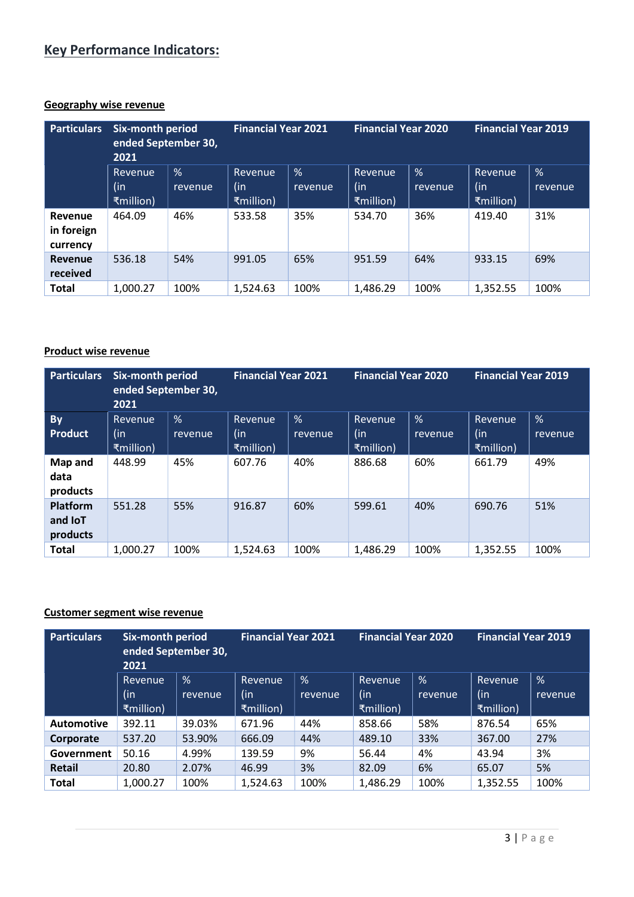# Key Performance Indicators:

## Geography wise revenue

| <b>Particulars</b>                | <b>Six-month period</b><br>ended September 30,<br>2021 |              | <b>Financial Year 2021</b>         |              | <b>Financial Year 2020</b>         |              | <b>Financial Year 2019</b>         |              |
|-----------------------------------|--------------------------------------------------------|--------------|------------------------------------|--------------|------------------------------------|--------------|------------------------------------|--------------|
|                                   | <b>Revenue</b><br>(in<br>₹million)                     | %<br>revenue | <b>Revenue</b><br>(in<br>₹million) | %<br>revenue | <b>Revenue</b><br>(in<br>₹million) | %<br>revenue | <b>Revenue</b><br>(in<br>₹million) | %<br>revenue |
| Revenue<br>in foreign<br>currency | 464.09                                                 | 46%          | 533.58                             | 35%          | 534.70                             | 36%          | 419.40                             | 31%          |
| <b>Revenue</b><br>received        | 536.18                                                 | 54%          | 991.05                             | 65%          | 951.59                             | 64%          | 933.15                             | 69%          |
| <b>Total</b>                      | 1.000.27                                               | 100%         | 1,524.63                           | 100%         | 1,486.29                           | 100%         | 1.352.55                           | 100%         |

#### Product wise revenue

| <b>Particulars</b>                            | <b>Six-month period</b><br>ended September 30,<br>2021 |              | <b>Financial Year 2021</b>  |              | <b>Financial Year 2020</b>         |              | <b>Financial Year 2019</b>   |              |
|-----------------------------------------------|--------------------------------------------------------|--------------|-----------------------------|--------------|------------------------------------|--------------|------------------------------|--------------|
| <b>By</b><br><b>Product</b>                   | Revenue<br>(in<br>₹million)                            | %<br>revenue | Revenue<br>(in<br>₹million) | %<br>revenue | <b>Revenue</b><br>(in<br>₹million) | %<br>revenue | Revenue,<br>(in<br>₹million) | %<br>revenue |
| Map and<br>data<br>products                   | 448.99                                                 | 45%          | 607.76                      | 40%          | 886.68                             | 60%          | 661.79                       | 49%          |
| <b>Platform</b><br>and <b>IoT</b><br>products | 551.28                                                 | 55%          | 916.87                      | 60%          | 599.61                             | 40%          | 690.76                       | 51%          |
| <b>Total</b>                                  | 1.000.27                                               | 100%         | 1,524.63                    | 100%         | 1,486.29                           | 100%         | 1,352.55                     | 100%         |

#### Customer segment wise revenue

| <b>Particulars</b> | <b>Six-month period</b><br>ended September 30,<br>2021 |              | <b>Financial Year 2021</b>         |              | <b>Financial Year 2020</b>         |              | <b>Financial Year 2019</b>         |              |
|--------------------|--------------------------------------------------------|--------------|------------------------------------|--------------|------------------------------------|--------------|------------------------------------|--------------|
|                    | Revenue<br>(in<br>₹million)                            | %<br>revenue | <b>Revenue</b><br>(in<br>₹million) | %<br>revenue | <b>Revenue</b><br>(in<br>₹million) | %<br>revenue | <b>Revenue</b><br>(in<br>₹million) | %<br>revenue |
| <b>Automotive</b>  | 392.11                                                 | 39.03%       | 671.96                             | 44%          | 858.66                             | 58%          | 876.54                             | 65%          |
| Corporate          | 537.20                                                 | 53.90%       | 666.09                             | 44%          | 489.10                             | 33%          | 367.00                             | 27%          |
| Government         | 50.16                                                  | 4.99%        | 139.59                             | 9%           | 56.44                              | 4%           | 43.94                              | 3%           |
| <b>Retail</b>      | 20.80                                                  | 2.07%        | 46.99                              | 3%           | 82.09                              | 6%           | 65.07                              | 5%           |
| <b>Total</b>       | 1,000.27                                               | 100%         | 1,524.63                           | 100%         | 1,486.29                           | 100%         | 1,352.55                           | 100%         |